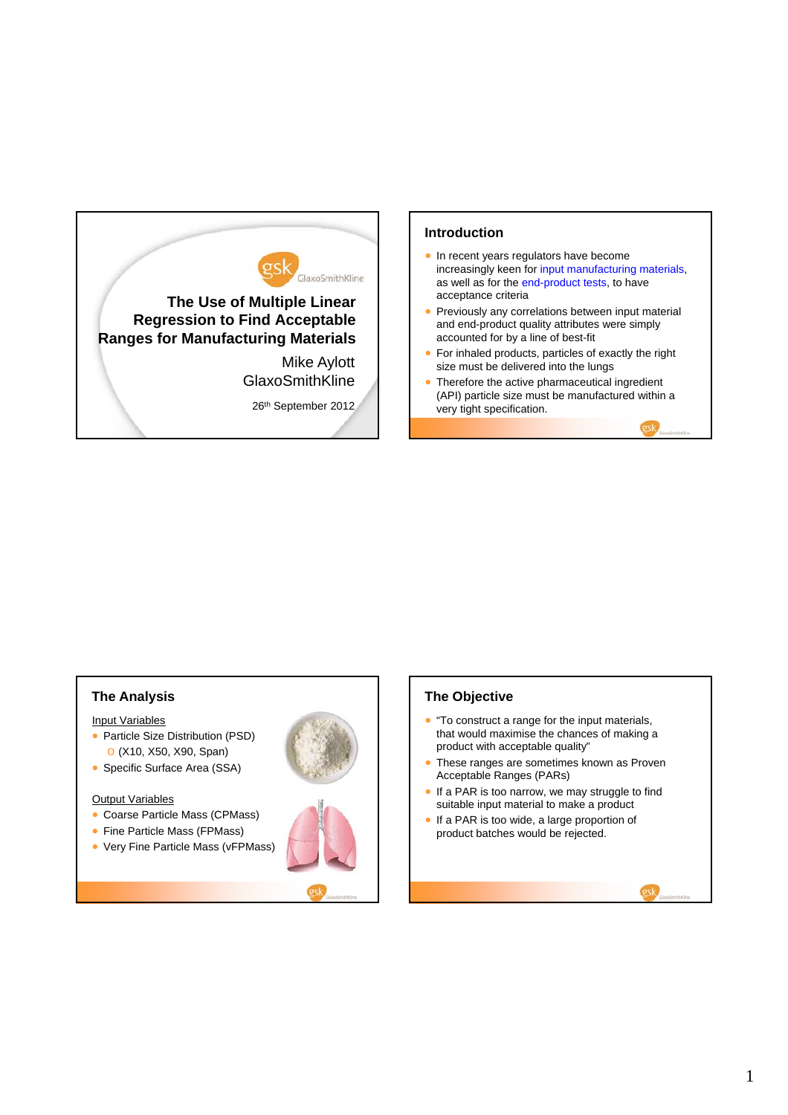

#### **Introduction**

- In recent years regulators have become increasingly keen for input manufacturing materials, as well as for the end-product tests, to have acceptance criteria
- Previously any correlations between input material and end-product quality attributes were simply accounted for by a line of best-fit
- For inhaled products, particles of exactly the right size must be delivered into the lungs
- Therefore the active pharmaceutical ingredient (API) particle size must be manufactured within a very tight specification.

# **The Analysis**

#### Input Variables

- Particle Size Distribution (PSD) o (X10, X50, X90, Span)
- Specific Surface Area (SSA)

#### **Output Variables**

- Coarse Particle Mass (CPMass)
- Fine Particle Mass (FPMass)
- Very Fine Particle Mass (vFPMass)





#### **The Objective**

- "To construct a range for the input materials, that would maximise the chances of making a product with acceptable quality"
- These ranges are sometimes known as Proven Acceptable Ranges (PARs)
- If a PAR is too narrow, we may struggle to find suitable input material to make a product
- If a PAR is too wide, a large proportion of product batches would be rejected.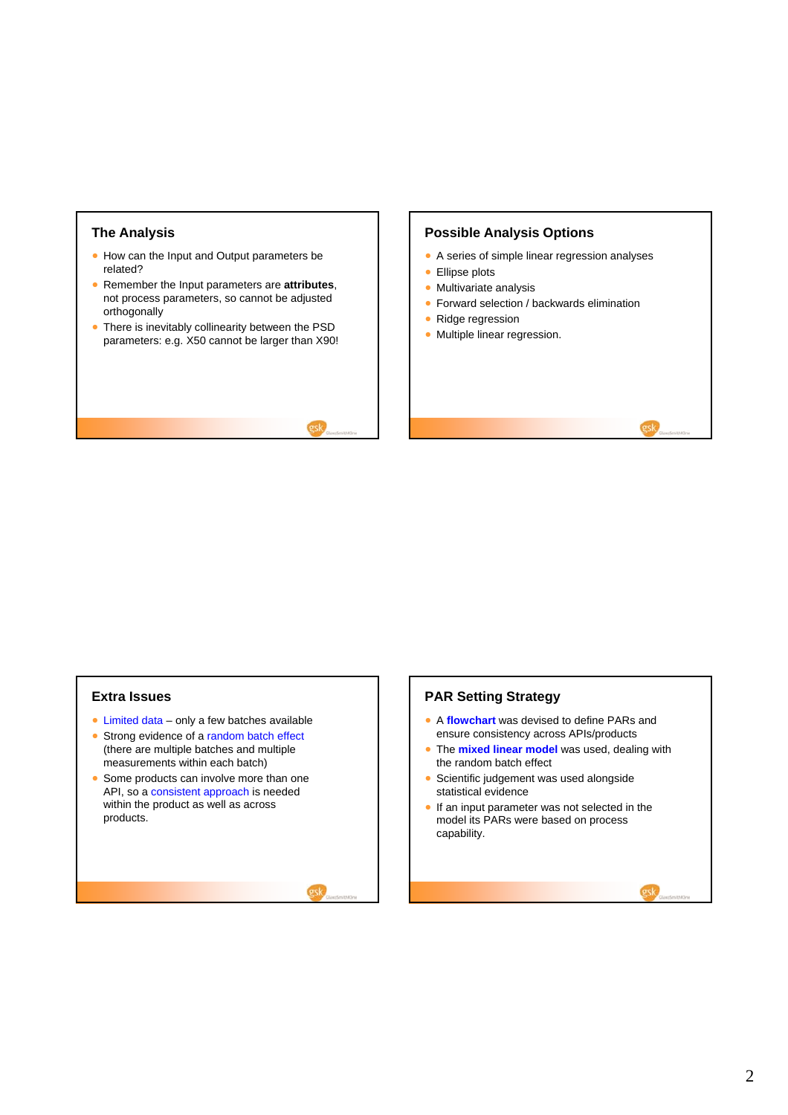### **The Analysis**

- How can the Input and Output parameters be related?
- Remember the Input parameters are **attributes**, not process parameters, so cannot be adjusted orthogonally
- There is inevitably collinearity between the PSD parameters: e.g. X50 cannot be larger than X90!

### **Possible Analysis Options**

- A series of simple linear regression analyses
- Ellipse plots
- **Multivariate analysis**
- **Forward selection / backwards elimination**
- Ridge regression
- Multiple linear regression.

#### **Extra Issues**

- $\bullet$  Limited data only a few batches available
- Strong evidence of a random batch effect (there are multiple batches and multiple measurements within each batch)
- Some products can involve more than one API, so a consistent approach is needed within the product as well as across products.

### **PAR Setting Strategy**

- A **flowchart** was devised to define PARs and ensure consistency across APIs/products
- The **mixed linear model** was used, dealing with the random batch effect
- **Scientific judgement was used alongside** statistical evidence
- **If an input parameter was not selected in the** model its PARs were based on process capability.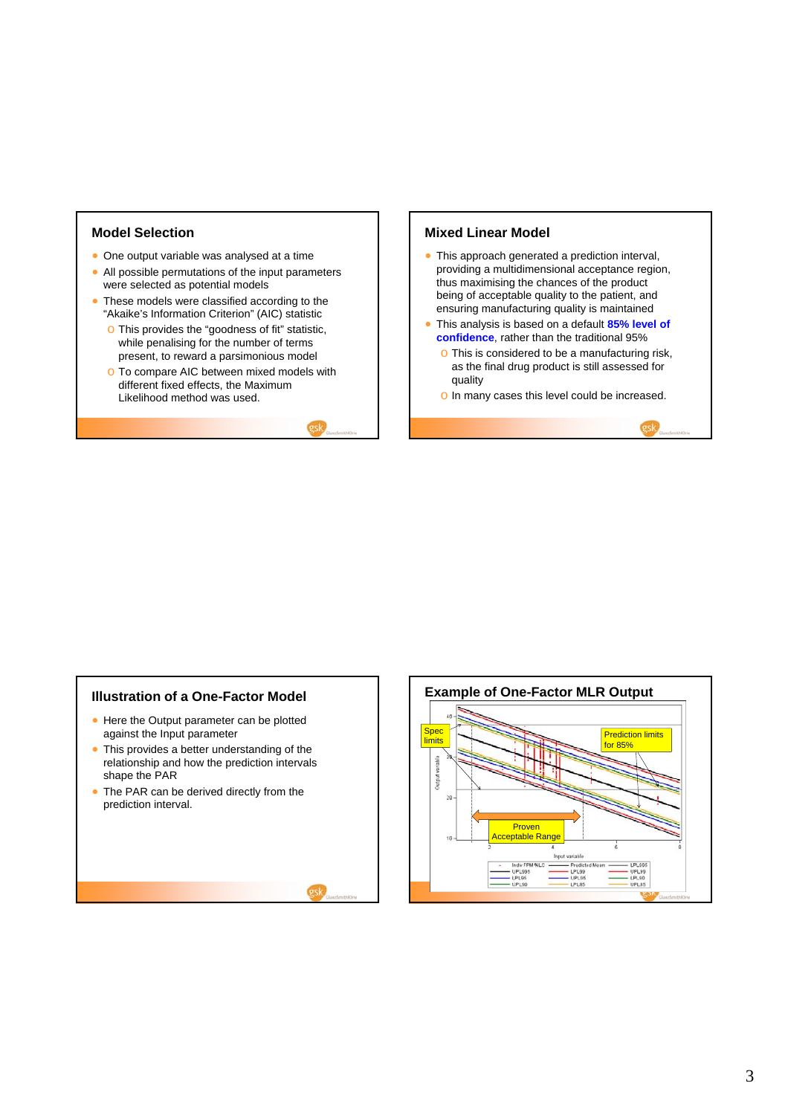### **Model Selection**

- One output variable was analysed at a time
- All possible permutations of the input parameters were selected as potential models
- These models were classified according to the "Akaike's Information Criterion" (AIC) statistic
	- o This provides the "goodness of fit" statistic, while penalising for the number of terms present, to reward a parsimonious model
	- o To compare AIC between mixed models with different fixed effects, the Maximum Likelihood method was used.

#### **Mixed Linear Model**

- This approach generated a prediction interval, providing a multidimensional acceptance region, thus maximising the chances of the product being of acceptable quality to the patient, and ensuring manufacturing quality is maintained
- This analysis is based on a default **85% level of confidence**, rather than the traditional 95%
	- o This is considered to be a manufacturing risk, as the final drug product is still assessed for quality
	- o In many cases this level could be increased.

### **Illustration of a One-Factor Model**

- Here the Output parameter can be plotted against the Input parameter
- This provides a better understanding of the relationship and how the prediction intervals shape the PAR
- The PAR can be derived directly from the prediction interval.

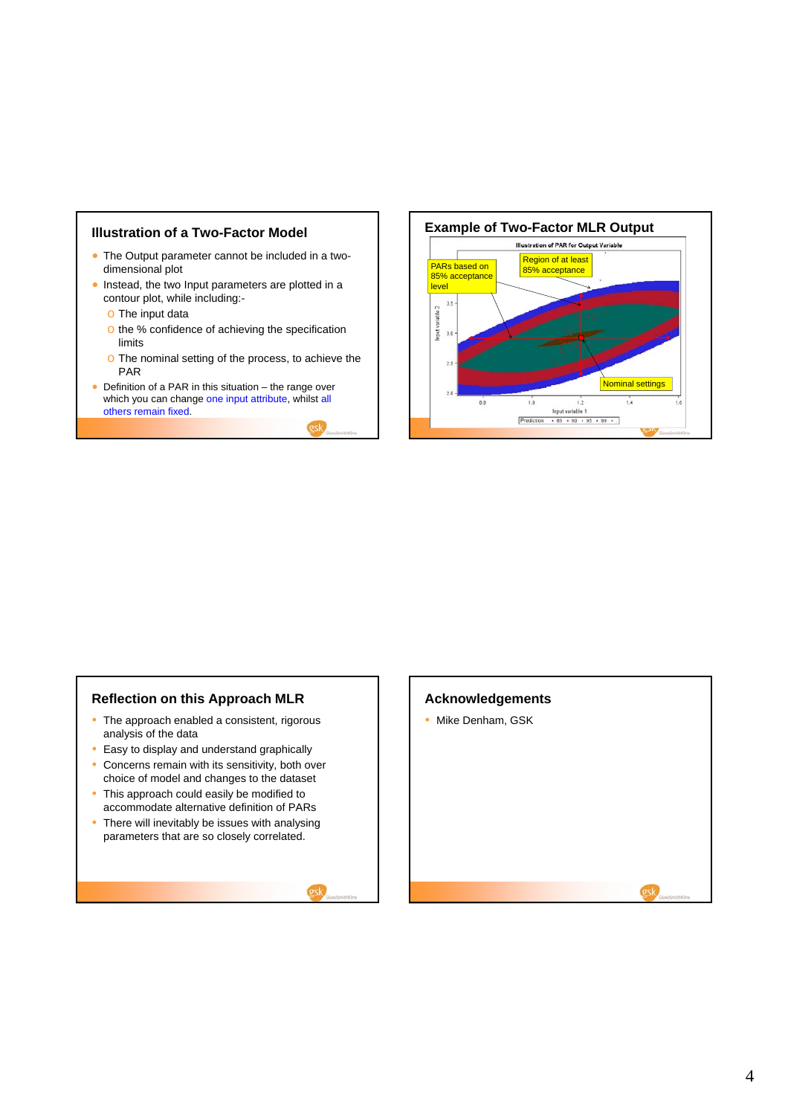# **Illustration of a Two-Factor Model**

- The Output parameter cannot be included in a twodimensional plot
- Instead, the two Input parameters are plotted in a contour plot, while including:
	- o The input data
	- o the % confidence of achieving the specification limits
	- o The nominal setting of the process, to achieve the PAR
- Definition of a PAR in this situation the range over which you can change one input attribute, whilst all others remain fixed.



# **Reflection on this Approach MLR**

- The approach enabled a consistent, rigorous analysis of the data
- Easy to display and understand graphically
- Concerns remain with its sensitivity, both over choice of model and changes to the dataset
- This approach could easily be modified to accommodate alternative definition of PARs
- There will inevitably be issues with analysing parameters that are so closely correlated.



## **Acknowledgements**

• Mike Denham, GSK